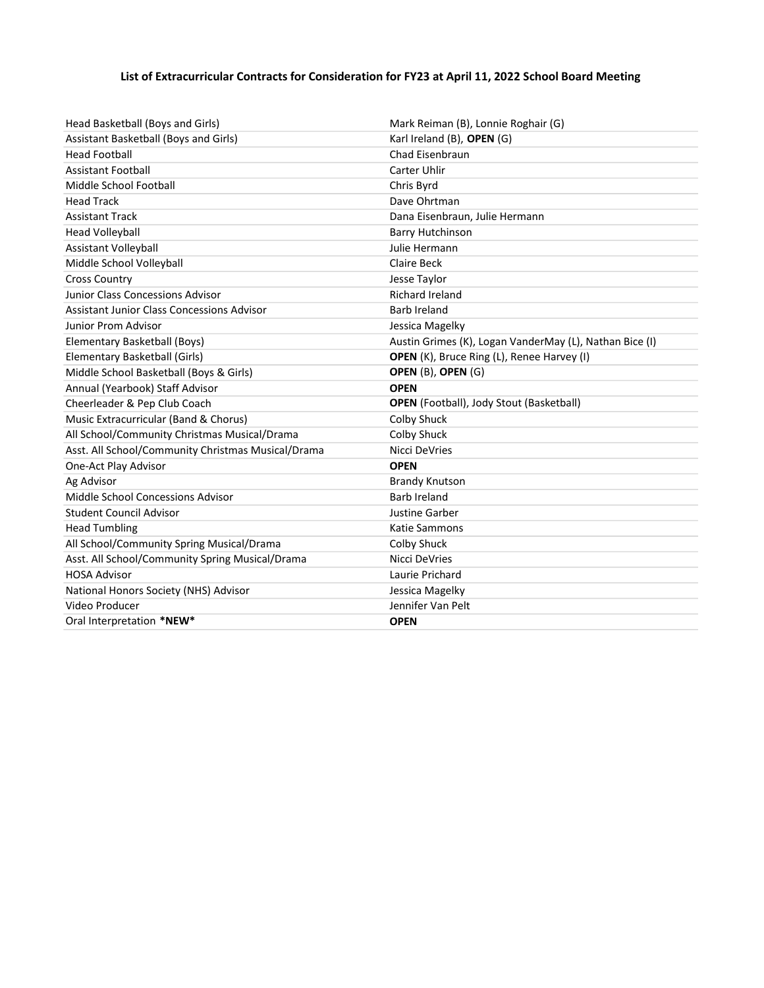## List of Extracurricular Contracts for Consideration for FY23 at April 11, 2022 School Board Meeting

| Head Basketball (Boys and Girls)                   | Mark Reiman (B), Lonnie Roghair (G)                     |
|----------------------------------------------------|---------------------------------------------------------|
| Assistant Basketball (Boys and Girls)              | Karl Ireland (B), OPEN (G)                              |
| <b>Head Football</b>                               | Chad Eisenbraun                                         |
| <b>Assistant Football</b>                          | Carter Uhlir                                            |
| Middle School Football                             | Chris Byrd                                              |
| <b>Head Track</b>                                  | Dave Ohrtman                                            |
| <b>Assistant Track</b>                             | Dana Eisenbraun, Julie Hermann                          |
| <b>Head Volleyball</b>                             | <b>Barry Hutchinson</b>                                 |
| Assistant Volleyball                               | Julie Hermann                                           |
| Middle School Volleyball                           | Claire Beck                                             |
| <b>Cross Country</b>                               | Jesse Taylor                                            |
| Junior Class Concessions Advisor                   | <b>Richard Ireland</b>                                  |
| Assistant Junior Class Concessions Advisor         | <b>Barb Ireland</b>                                     |
| Junior Prom Advisor                                | Jessica Magelky                                         |
| Elementary Basketball (Boys)                       | Austin Grimes (K), Logan VanderMay (L), Nathan Bice (I) |
| Elementary Basketball (Girls)                      | OPEN (K), Bruce Ring (L), Renee Harvey (I)              |
| Middle School Basketball (Boys & Girls)            | OPEN (B), OPEN (G)                                      |
| Annual (Yearbook) Staff Advisor                    | <b>OPEN</b>                                             |
| Cheerleader & Pep Club Coach                       | <b>OPEN</b> (Football), Jody Stout (Basketball)         |
| Music Extracurricular (Band & Chorus)              | Colby Shuck                                             |
| All School/Community Christmas Musical/Drama       | <b>Colby Shuck</b>                                      |
| Asst. All School/Community Christmas Musical/Drama | Nicci DeVries                                           |
| One-Act Play Advisor                               | <b>OPEN</b>                                             |
| Ag Advisor                                         | <b>Brandy Knutson</b>                                   |
| Middle School Concessions Advisor                  | <b>Barb Ireland</b>                                     |
| <b>Student Council Advisor</b>                     | Justine Garber                                          |
| <b>Head Tumbling</b>                               | Katie Sammons                                           |
| All School/Community Spring Musical/Drama          | <b>Colby Shuck</b>                                      |
| Asst. All School/Community Spring Musical/Drama    | Nicci DeVries                                           |
| <b>HOSA Advisor</b>                                | Laurie Prichard                                         |
| National Honors Society (NHS) Advisor              | Jessica Magelky                                         |
| Video Producer                                     | Jennifer Van Pelt                                       |
| Oral Interpretation *NEW*                          | <b>OPEN</b>                                             |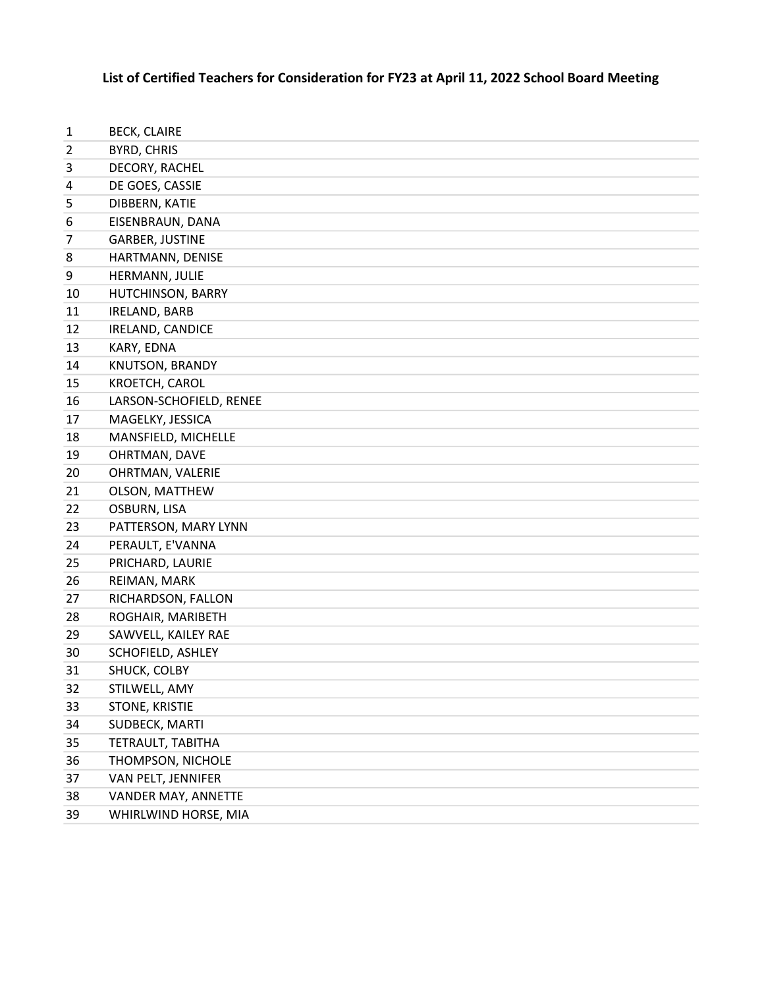## List of Certified Teachers for Consideration for FY23 at April 11, 2022 School Board Meeting

| 1              | <b>BECK, CLAIRE</b>     |
|----------------|-------------------------|
| $\overline{2}$ | BYRD, CHRIS             |
| 3              | DECORY, RACHEL          |
| 4              | DE GOES, CASSIE         |
| 5              | DIBBERN, KATIE          |
| 6              | EISENBRAUN, DANA        |
| 7              | <b>GARBER, JUSTINE</b>  |
| 8              | HARTMANN, DENISE        |
| 9              | HERMANN, JULIE          |
| 10             | HUTCHINSON, BARRY       |
| 11             | IRELAND, BARB           |
| 12             | IRELAND, CANDICE        |
| 13             | KARY, EDNA              |
| 14             | KNUTSON, BRANDY         |
| 15             | KROETCH, CAROL          |
| 16             | LARSON-SCHOFIELD, RENEE |
| 17             | MAGELKY, JESSICA        |
| 18             | MANSFIELD, MICHELLE     |
| 19             | OHRTMAN, DAVE           |
| 20             | OHRTMAN, VALERIE        |
| 21             | OLSON, MATTHEW          |
| 22             | OSBURN, LISA            |
| 23             | PATTERSON, MARY LYNN    |
| 24             | PERAULT, E'VANNA        |
| 25             | PRICHARD, LAURIE        |
| 26             | REIMAN, MARK            |
| 27             | RICHARDSON, FALLON      |
| 28             | ROGHAIR, MARIBETH       |
| 29             | SAWVELL, KAILEY RAE     |
| 30             | SCHOFIELD, ASHLEY       |
| 31             | SHUCK, COLBY            |
| 32             | STILWELL, AMY           |
| 33             | STONE, KRISTIE          |
| 34             | SUDBECK, MARTI          |
| 35             | TETRAULT, TABITHA       |
| 36             | THOMPSON, NICHOLE       |
| 37             | VAN PELT, JENNIFER      |
| 38             | VANDER MAY, ANNETTE     |
| 39             | WHIRLWIND HORSE, MIA    |